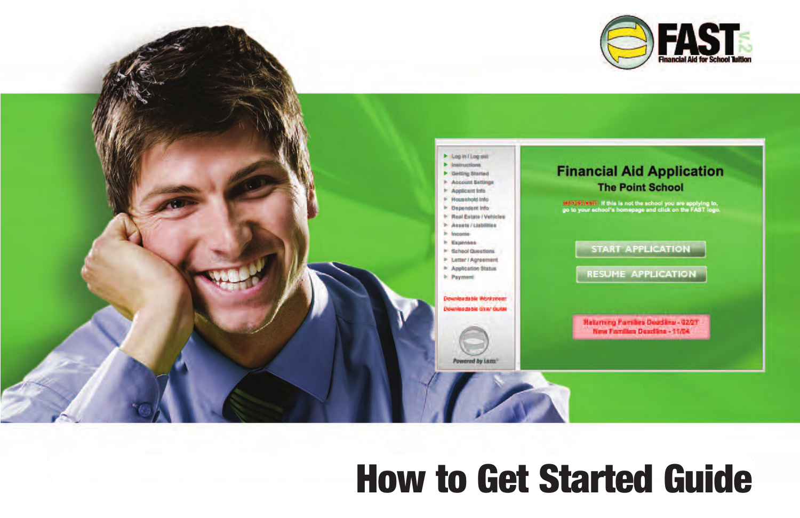



# **How to Get Started Guide**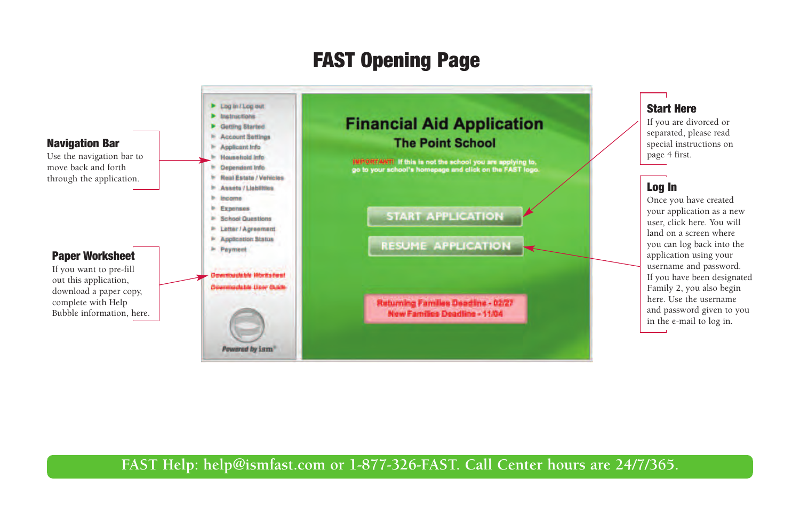## **FAST Opening Page**

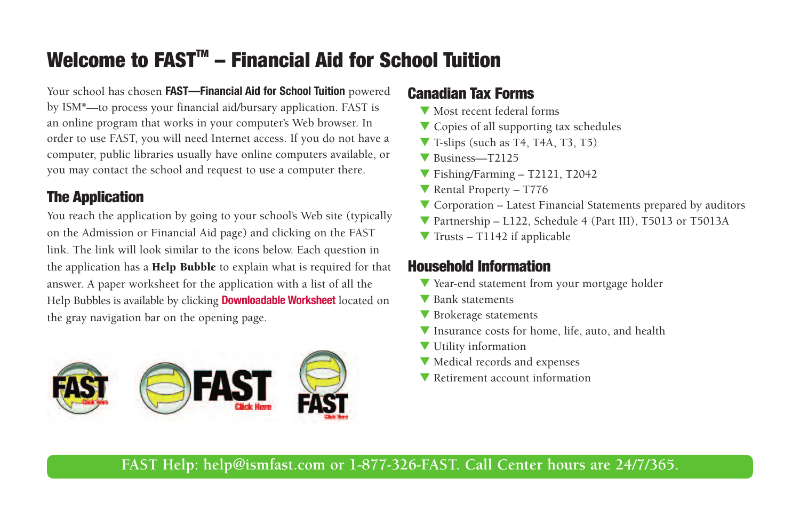# **Welcome to FASTTM – Financial Aid for School Tuition**

Your school has chosen **FAST—Financial Aid for School Tuition** powered by ISM®—to process your financial aid/bursary application. FAST is an online program that works in your computer's Web browser. In order to use FAST, you will need Internet access. If you do not have a computer, public libraries usually have online computers available, or you may contact the school and request to use a computer there.

#### **The Application**

You reach the application by going to your school's Web site (typically on the Admission or Financial Aid page) and clicking on the FAST link. The link will look similar to the icons below. Each question in the application has a **Help Bubble** to explain what is required for that answer. A paper worksheet for the application with a list of all the Help Bubbles is available by clicking **Downloadable Worksheet** located on the gray navigation bar on the opening page.



#### **Canadian Tax Forms**

- $\blacktriangledown$  Most recent federal forms
- $\blacktriangledown$  Copies of all supporting tax schedules
- $\blacktriangledown$  T-slips (such as T4, T4A, T3, T5)
- $\blacktriangledown$  Business—T2125
- $\blacktriangledown$  Fishing/Farming T2121, T2042
- Rental Property  $T776$
- $\blacktriangledown$  Corporation Latest Financial Statements prepared by auditors
- $\blacktriangledown$  Partnership L122, Schedule 4 (Part III), T5013 or T5013A
- $\blacktriangledown$  Trusts T1142 if applicable

#### **Household Information**

- V Year-end statement from your mortgage holder
- **V** Bank statements
- $\blacktriangledown$  Brokerage statements
- $\blacktriangledown$  Insurance costs for home, life, auto, and health
- $\blacktriangledown$  Utility information
- $\blacktriangledown$  Medical records and expenses
- $\blacktriangledown$  Retirement account information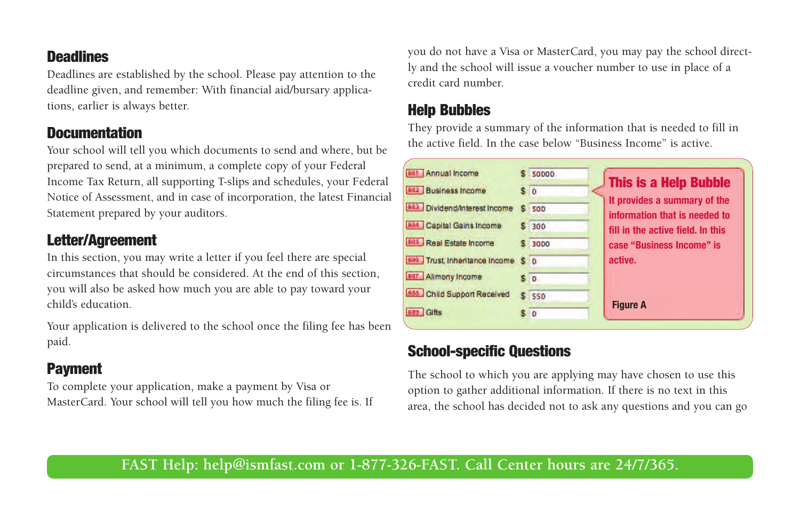#### **Deadlines**

Deadlines are established by the school. Please pay attention to the deadline given, and remember: With financial aid/bursary applications, earlier is always better.

#### **Documentation**

Your school will tell you which documents to send and where, but be prepared to send, at a minimum, a complete copy of your Federal Income Tax Return, all supporting T-slips and schedules, your Federal Notice of Assessment, and in case of incorporation, the latest Financial Statement prepared by your auditors.

#### **Letter/Agreement**

In this section, you may write a letter if you feel there are special circumstances that should be considered. At the end of this section, you will also be asked how much you are able to pay toward your child's education.

Your application is delivered to the school once the filing fee has been paid.

#### **Payment**

To complete your application, make a payment by Visa or MasterCard. Your school will tell you how much the filing fee is. If you do not have a Visa or MasterCard, you may pay the school directly and the school will issue a voucher number to use in place of a credit card number.

#### **Help Bubbles**

They provide a summary of the information that is needed to fill in the active field. In the case below "Business Income" is active.



#### **School-specific Questions**

The school to which you are applying may have chosen to use this option to gather additional information. If there is no text in this area, the school has decided not to ask any questions and you can go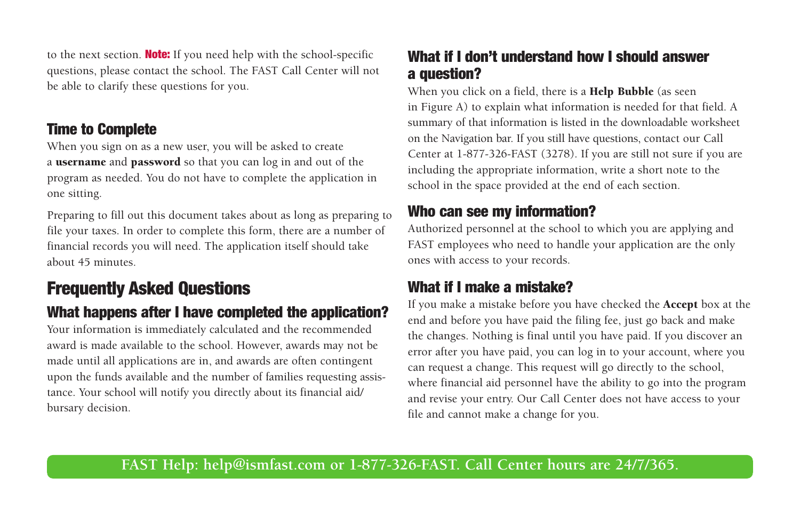to the next section. **Note:** If you need help with the school-specific questions, please contact the school. The FAST Call Center will not be able to clarify these questions for you.

#### **Time to Complete**

When you sign on as a new user, you will be asked to create a **username** and **password** so that you can log in and out of the program as needed. You do not have to complete the application in one sitting.

Preparing to fill out this document takes about as long as preparing to file your taxes. In order to complete this form, there are a number of financial records you will need. The application itself should take about 45 minutes.

## **Frequently Asked Questions**

#### **What happens after I have completed the application?**

Your information is immediately calculated and the recommended award is made available to the school. However, awards may not be made until all applications are in, and awards are often contingent upon the funds available and the number of families requesting assistance. Your school will notify you directly about its financial aid/ bursary decision.

#### **What if I don't understand how I should answer a question?**

When you click on a field, there is a **Help Bubble** (as seen in Figure A) to explain what information is needed for that field. A summary of that information is listed in the downloadable worksheet on the Navigation bar. If you still have questions, contact our Call Center at 1-877-326-FAST (3278). If you are still not sure if you are including the appropriate information, write a short note to the school in the space provided at the end of each section.

#### **Who can see my information?**

Authorized personnel at the school to which you are applying and FAST employees who need to handle your application are the only ones with access to your records.

#### **What if I make a mistake?**

If you make a mistake before you have checked the **Accept** box at the end and before you have paid the filing fee, just go back and make the changes. Nothing is final until you have paid. If you discover an error after you have paid, you can log in to your account, where you can request a change. This request will go directly to the school, where financial aid personnel have the ability to go into the program and revise your entry. Our Call Center does not have access to your file and cannot make a change for you.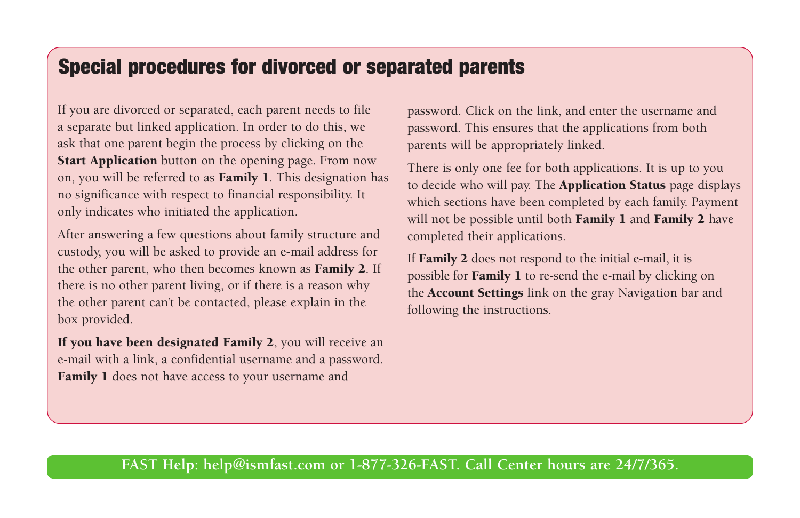## **Special procedures for divorced or separated parents**

If you are divorced or separated, each parent needs to file a separate but linked application. In order to do this, we ask that one parent begin the process by clicking on the **Start Application** button on the opening page. From now on, you will be referred to as **Family 1**. This designation has no significance with respect to financial responsibility. It only indicates who initiated the application.

After answering a few questions about family structure and custody, you will be asked to provide an e-mail address for the other parent, who then becomes known as **Family 2**. If there is no other parent living, or if there is a reason why the other parent can't be contacted, please explain in the box provided.

**If you have been designated Family 2**, you will receive an e-mail with a link, a confidential username and a password. **Family 1** does not have access to your username and

password. Click on the link, and enter the username and password. This ensures that the applications from both parents will be appropriately linked.

There is only one fee for both applications. It is up to you to decide who will pay. The **Application Status** page displays which sections have been completed by each family. Payment will not be possible until both **Family 1** and **Family 2** have completed their applications.

If **Family 2** does not respond to the initial e-mail, it is possible for **Family 1** to re-send the e-mail by clicking on the **Account Settings** link on the gray Navigation bar and following the instructions.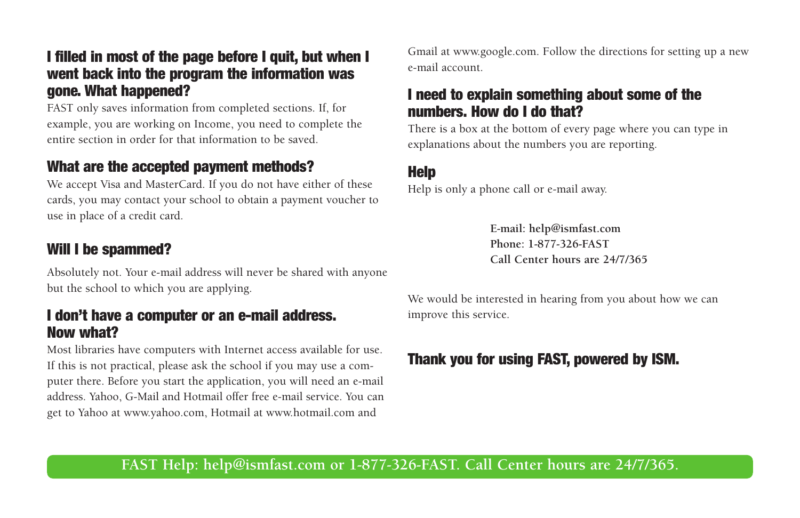#### **I filled in most of the page before I quit, but when I went back into the program the information was gone. What happened?**

FAST only saves information from completed sections. If, for example, you are working on Income, you need to complete the entire section in order for that information to be saved.

#### **What are the accepted payment methods?**

We accept Visa and MasterCard. If you do not have either of these cards, you may contact your school to obtain a payment voucher to use in place of a credit card.

#### **Will I be spammed?**

Absolutely not. Your e-mail address will never be shared with anyone but the school to which you are applying.

#### **I don't have a computer or an e-mail address. Now what?**

Most libraries have computers with Internet access available for use. If this is not practical, please ask the school if you may use a computer there. Before you start the application, you will need an e-mail address. Yahoo, G-Mail and Hotmail offer free e-mail service. You can get to Yahoo at www.yahoo.com, Hotmail at www.hotmail.com and

Gmail at www.google.com. Follow the directions for setting up a new e-mail account.

#### **I need to explain something about some of the numbers. How do I do that?**

There is a box at the bottom of every page where you can type in explanations about the numbers you are reporting.

#### **Help**

Help is only a phone call or e-mail away.

**E-mail: help@ismfast.com Phone: 1-877-326-FAST Call Center hours are 24/7/365**

We would be interested in hearing from you about how we can improve this service.

### **Thank you for using FAST, powered by ISM.**